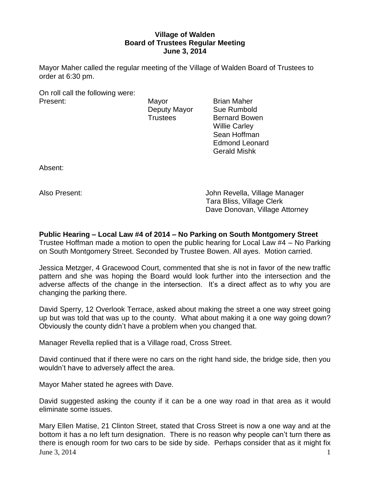# **Village of Walden Board of Trustees Regular Meeting June 3, 2014**

Mayor Maher called the regular meeting of the Village of Walden Board of Trustees to order at 6:30 pm.

On roll call the following were: Present: Mayor Brian Maher

Deputy Mayor Sue Rumbold Trustees Bernard Bowen Willie Carley Sean Hoffman Edmond Leonard Gerald Mishk

Absent:

Also Present: John Revella, Village Manager Tara Bliss, Village Clerk Dave Donovan, Village Attorney

**Public Hearing – Local Law #4 of 2014 – No Parking on South Montgomery Street** Trustee Hoffman made a motion to open the public hearing for Local Law #4 – No Parking on South Montgomery Street. Seconded by Trustee Bowen. All ayes. Motion carried.

Jessica Metzger, 4 Gracewood Court, commented that she is not in favor of the new traffic pattern and she was hoping the Board would look further into the intersection and the adverse affects of the change in the intersection. It's a direct affect as to why you are changing the parking there.

David Sperry, 12 Overlook Terrace, asked about making the street a one way street going up but was told that was up to the county. What about making it a one way going down? Obviously the county didn't have a problem when you changed that.

Manager Revella replied that is a Village road, Cross Street.

David continued that if there were no cars on the right hand side, the bridge side, then you wouldn't have to adversely affect the area.

Mayor Maher stated he agrees with Dave.

David suggested asking the county if it can be a one way road in that area as it would eliminate some issues.

June 3, 2014  $\frac{1}{2}$  1 Mary Ellen Matise, 21 Clinton Street, stated that Cross Street is now a one way and at the bottom it has a no left turn designation. There is no reason why people can't turn there as there is enough room for two cars to be side by side. Perhaps consider that as it might fix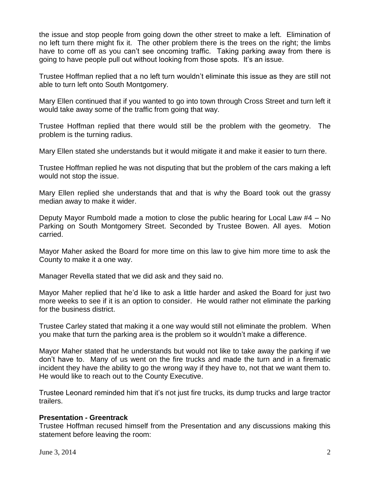the issue and stop people from going down the other street to make a left. Elimination of no left turn there might fix it. The other problem there is the trees on the right; the limbs have to come off as you can't see oncoming traffic. Taking parking away from there is going to have people pull out without looking from those spots. It's an issue.

Trustee Hoffman replied that a no left turn wouldn't eliminate this issue as they are still not able to turn left onto South Montgomery.

Mary Ellen continued that if you wanted to go into town through Cross Street and turn left it would take away some of the traffic from going that way.

Trustee Hoffman replied that there would still be the problem with the geometry. The problem is the turning radius.

Mary Ellen stated she understands but it would mitigate it and make it easier to turn there.

Trustee Hoffman replied he was not disputing that but the problem of the cars making a left would not stop the issue.

Mary Ellen replied she understands that and that is why the Board took out the grassy median away to make it wider.

Deputy Mayor Rumbold made a motion to close the public hearing for Local Law #4 – No Parking on South Montgomery Street. Seconded by Trustee Bowen. All ayes. Motion carried.

Mayor Maher asked the Board for more time on this law to give him more time to ask the County to make it a one way.

Manager Revella stated that we did ask and they said no.

Mayor Maher replied that he'd like to ask a little harder and asked the Board for just two more weeks to see if it is an option to consider. He would rather not eliminate the parking for the business district.

Trustee Carley stated that making it a one way would still not eliminate the problem. When you make that turn the parking area is the problem so it wouldn't make a difference.

Mayor Maher stated that he understands but would not like to take away the parking if we don't have to. Many of us went on the fire trucks and made the turn and in a firematic incident they have the ability to go the wrong way if they have to, not that we want them to. He would like to reach out to the County Executive.

Trustee Leonard reminded him that it's not just fire trucks, its dump trucks and large tractor trailers.

# **Presentation - Greentrack**

Trustee Hoffman recused himself from the Presentation and any discussions making this statement before leaving the room: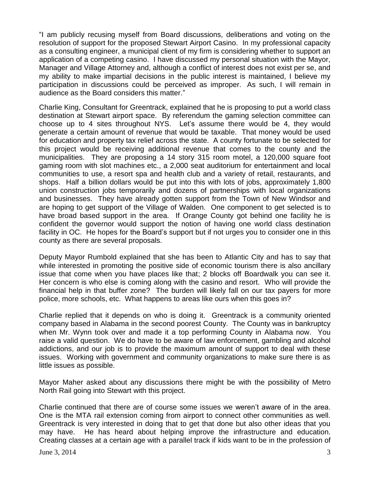"I am publicly recusing myself from Board discussions, deliberations and voting on the resolution of support for the proposed Stewart Airport Casino. In my professional capacity as a consulting engineer, a municipal client of my firm is considering whether to support an application of a competing casino. I have discussed my personal situation with the Mayor, Manager and Village Attorney and, although a conflict of interest does not exist per se, and my ability to make impartial decisions in the public interest is maintained, I believe my participation in discussions could be perceived as improper. As such, I will remain in audience as the Board considers this matter."

Charlie King, Consultant for Greentrack, explained that he is proposing to put a world class destination at Stewart airport space. By referendum the gaming selection committee can choose up to 4 sites throughout NYS. Let's assume there would be 4, they would generate a certain amount of revenue that would be taxable. That money would be used for education and property tax relief across the state. A county fortunate to be selected for this project would be receiving additional revenue that comes to the county and the municipalities. They are proposing a 14 story 315 room motel, a 120,000 square foot gaming room with slot machines etc., a 2,000 seat auditorium for entertainment and local communities to use, a resort spa and health club and a variety of retail, restaurants, and shops. Half a billion dollars would be put into this with lots of jobs, approximately 1,800 union construction jobs temporarily and dozens of partnerships with local organizations and businesses. They have already gotten support from the Town of New Windsor and are hoping to get support of the Village of Walden. One component to get selected is to have broad based support in the area. If Orange County got behind one facility he is confident the governor would support the notion of having one world class destination facility in OC. He hopes for the Board's support but if not urges you to consider one in this county as there are several proposals.

Deputy Mayor Rumbold explained that she has been to Atlantic City and has to say that while interested in promoting the positive side of economic tourism there is also ancillary issue that come when you have places like that; 2 blocks off Boardwalk you can see it. Her concern is who else is coming along with the casino and resort. Who will provide the financial help in that buffer zone? The burden will likely fall on our tax payers for more police, more schools, etc. What happens to areas like ours when this goes in?

Charlie replied that it depends on who is doing it. Greentrack is a community oriented company based in Alabama in the second poorest County. The County was in bankruptcy when Mr. Wynn took over and made it a top performing County in Alabama now. You raise a valid question. We do have to be aware of law enforcement, gambling and alcohol addictions, and our job is to provide the maximum amount of support to deal with these issues. Working with government and community organizations to make sure there is as little issues as possible.

Mayor Maher asked about any discussions there might be with the possibility of Metro North Rail going into Stewart with this project.

Charlie continued that there are of course some issues we weren't aware of in the area. One is the MTA rail extension coming from airport to connect other communities as well. Greentrack is very interested in doing that to get that done but also other ideas that you may have. He has heard about helping improve the infrastructure and education. Creating classes at a certain age with a parallel track if kids want to be in the profession of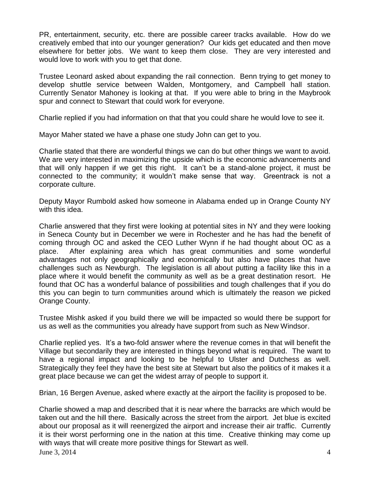PR, entertainment, security, etc. there are possible career tracks available. How do we creatively embed that into our younger generation? Our kids get educated and then move elsewhere for better jobs. We want to keep them close. They are very interested and would love to work with you to get that done.

Trustee Leonard asked about expanding the rail connection. Benn trying to get money to develop shuttle service between Walden, Montgomery, and Campbell hall station. Currently Senator Mahoney is looking at that. If you were able to bring in the Maybrook spur and connect to Stewart that could work for everyone.

Charlie replied if you had information on that that you could share he would love to see it.

Mayor Maher stated we have a phase one study John can get to you.

Charlie stated that there are wonderful things we can do but other things we want to avoid. We are very interested in maximizing the upside which is the economic advancements and that will only happen if we get this right. It can't be a stand-alone project, it must be connected to the community; it wouldn't make sense that way. Greentrack is not a corporate culture.

Deputy Mayor Rumbold asked how someone in Alabama ended up in Orange County NY with this idea.

Charlie answered that they first were looking at potential sites in NY and they were looking in Seneca County but in December we were in Rochester and he has had the benefit of coming through OC and asked the CEO Luther Wynn if he had thought about OC as a place. After explaining area which has great communities and some wonderful advantages not only geographically and economically but also have places that have challenges such as Newburgh. The legislation is all about putting a facility like this in a place where it would benefit the community as well as be a great destination resort. He found that OC has a wonderful balance of possibilities and tough challenges that if you do this you can begin to turn communities around which is ultimately the reason we picked Orange County.

Trustee Mishk asked if you build there we will be impacted so would there be support for us as well as the communities you already have support from such as New Windsor.

Charlie replied yes. It's a two-fold answer where the revenue comes in that will benefit the Village but secondarily they are interested in things beyond what is required. The want to have a regional impact and looking to be helpful to Ulster and Dutchess as well. Strategically they feel they have the best site at Stewart but also the politics of it makes it a great place because we can get the widest array of people to support it.

Brian, 16 Bergen Avenue, asked where exactly at the airport the facility is proposed to be.

June 3, 2014  $\frac{4}{3}$ Charlie showed a map and described that it is near where the barracks are which would be taken out and the hill there. Basically across the street from the airport. Jet blue is excited about our proposal as it will reenergized the airport and increase their air traffic. Currently it is their worst performing one in the nation at this time. Creative thinking may come up with ways that will create more positive things for Stewart as well.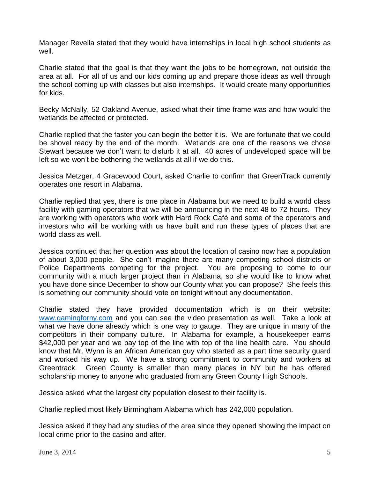Manager Revella stated that they would have internships in local high school students as well.

Charlie stated that the goal is that they want the jobs to be homegrown, not outside the area at all. For all of us and our kids coming up and prepare those ideas as well through the school coming up with classes but also internships. It would create many opportunities for kids.

Becky McNally, 52 Oakland Avenue, asked what their time frame was and how would the wetlands be affected or protected.

Charlie replied that the faster you can begin the better it is. We are fortunate that we could be shovel ready by the end of the month. Wetlands are one of the reasons we chose Stewart because we don't want to disturb it at all. 40 acres of undeveloped space will be left so we won't be bothering the wetlands at all if we do this.

Jessica Metzger, 4 Gracewood Court, asked Charlie to confirm that GreenTrack currently operates one resort in Alabama.

Charlie replied that yes, there is one place in Alabama but we need to build a world class facility with gaming operators that we will be announcing in the next 48 to 72 hours. They are working with operators who work with Hard Rock Café and some of the operators and investors who will be working with us have built and run these types of places that are world class as well.

Jessica continued that her question was about the location of casino now has a population of about 3,000 people. She can't imagine there are many competing school districts or Police Departments competing for the project. You are proposing to come to our community with a much larger project than in Alabama, so she would like to know what you have done since December to show our County what you can propose? She feels this is something our community should vote on tonight without any documentation.

Charlie stated they have provided documentation which is on their website: [www.gamingforny.com](http://www.gamingforny.com/) and you can see the video presentation as well. Take a look at what we have done already which is one way to gauge. They are unique in many of the competitors in their company culture. In Alabama for example, a housekeeper earns \$42,000 per year and we pay top of the line with top of the line health care. You should know that Mr. Wynn is an African American guy who started as a part time security guard and worked his way up. We have a strong commitment to community and workers at Greentrack. Green County is smaller than many places in NY but he has offered scholarship money to anyone who graduated from any Green County High Schools.

Jessica asked what the largest city population closest to their facility is.

Charlie replied most likely Birmingham Alabama which has 242,000 population.

Jessica asked if they had any studies of the area since they opened showing the impact on local crime prior to the casino and after.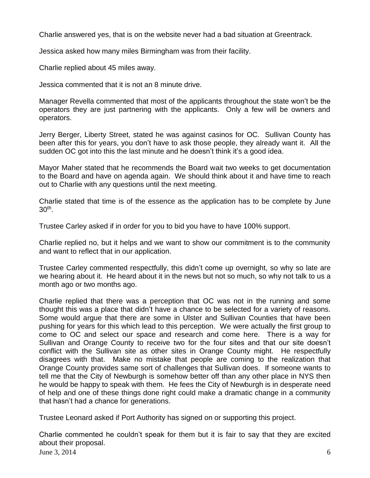Charlie answered yes, that is on the website never had a bad situation at Greentrack.

Jessica asked how many miles Birmingham was from their facility.

Charlie replied about 45 miles away.

Jessica commented that it is not an 8 minute drive.

Manager Revella commented that most of the applicants throughout the state won't be the operators they are just partnering with the applicants. Only a few will be owners and operators.

Jerry Berger, Liberty Street, stated he was against casinos for OC. Sullivan County has been after this for years, you don't have to ask those people, they already want it. All the sudden OC got into this the last minute and he doesn't think it's a good idea.

Mayor Maher stated that he recommends the Board wait two weeks to get documentation to the Board and have on agenda again. We should think about it and have time to reach out to Charlie with any questions until the next meeting.

Charlie stated that time is of the essence as the application has to be complete by June 30th .

Trustee Carley asked if in order for you to bid you have to have 100% support.

Charlie replied no, but it helps and we want to show our commitment is to the community and want to reflect that in our application.

Trustee Carley commented respectfully, this didn't come up overnight, so why so late are we hearing about it. He heard about it in the news but not so much, so why not talk to us a month ago or two months ago.

Charlie replied that there was a perception that OC was not in the running and some thought this was a place that didn't have a chance to be selected for a variety of reasons. Some would argue that there are some in Ulster and Sullivan Counties that have been pushing for years for this which lead to this perception. We were actually the first group to come to OC and select our space and research and come here. There is a way for Sullivan and Orange County to receive two for the four sites and that our site doesn't conflict with the Sullivan site as other sites in Orange County might. He respectfully disagrees with that. Make no mistake that people are coming to the realization that Orange County provides same sort of challenges that Sullivan does. If someone wants to tell me that the City of Newburgh is somehow better off than any other place in NYS then he would be happy to speak with them. He fees the City of Newburgh is in desperate need of help and one of these things done right could make a dramatic change in a community that hasn't had a chance for generations.

Trustee Leonard asked if Port Authority has signed on or supporting this project.

June 3, 2014 6 Charlie commented he couldn't speak for them but it is fair to say that they are excited about their proposal.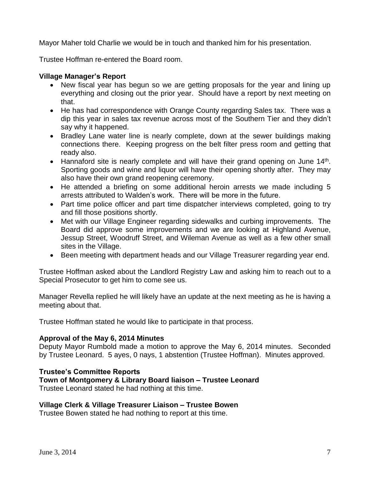Mayor Maher told Charlie we would be in touch and thanked him for his presentation.

Trustee Hoffman re-entered the Board room.

# **Village Manager's Report**

- New fiscal year has begun so we are getting proposals for the year and lining up everything and closing out the prior year. Should have a report by next meeting on that.
- He has had correspondence with Orange County regarding Sales tax. There was a dip this year in sales tax revenue across most of the Southern Tier and they didn't say why it happened.
- Bradley Lane water line is nearly complete, down at the sewer buildings making connections there. Keeping progress on the belt filter press room and getting that ready also.
- Hannaford site is nearly complete and will have their grand opening on June  $14<sup>th</sup>$ . Sporting goods and wine and liquor will have their opening shortly after. They may also have their own grand reopening ceremony.
- He attended a briefing on some additional heroin arrests we made including 5 arrests attributed to Walden's work. There will be more in the future.
- Part time police officer and part time dispatcher interviews completed, going to try and fill those positions shortly.
- Met with our Village Engineer regarding sidewalks and curbing improvements. The Board did approve some improvements and we are looking at Highland Avenue, Jessup Street, Woodruff Street, and Wileman Avenue as well as a few other small sites in the Village.
- Been meeting with department heads and our Village Treasurer regarding year end.

Trustee Hoffman asked about the Landlord Registry Law and asking him to reach out to a Special Prosecutor to get him to come see us.

Manager Revella replied he will likely have an update at the next meeting as he is having a meeting about that.

Trustee Hoffman stated he would like to participate in that process.

# **Approval of the May 6, 2014 Minutes**

Deputy Mayor Rumbold made a motion to approve the May 6, 2014 minutes. Seconded by Trustee Leonard. 5 ayes, 0 nays, 1 abstention (Trustee Hoffman). Minutes approved.

# **Trustee's Committee Reports**

**Town of Montgomery & Library Board liaison – Trustee Leonard**

Trustee Leonard stated he had nothing at this time.

# **Village Clerk & Village Treasurer Liaison – Trustee Bowen**

Trustee Bowen stated he had nothing to report at this time.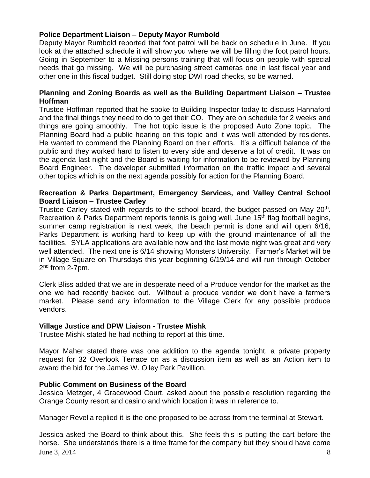# **Police Department Liaison – Deputy Mayor Rumbold**

Deputy Mayor Rumbold reported that foot patrol will be back on schedule in June. If you look at the attached schedule it will show you where we will be filling the foot patrol hours. Going in September to a Missing persons training that will focus on people with special needs that go missing. We will be purchasing street cameras one in last fiscal year and other one in this fiscal budget. Still doing stop DWI road checks, so be warned.

## **Planning and Zoning Boards as well as the Building Department Liaison – Trustee Hoffman**

Trustee Hoffman reported that he spoke to Building Inspector today to discuss Hannaford and the final things they need to do to get their CO. They are on schedule for 2 weeks and things are going smoothly. The hot topic issue is the proposed Auto Zone topic. The Planning Board had a public hearing on this topic and it was well attended by residents. He wanted to commend the Planning Board on their efforts. It's a difficult balance of the public and they worked hard to listen to every side and deserve a lot of credit. It was on the agenda last night and the Board is waiting for information to be reviewed by Planning Board Engineer. The developer submitted information on the traffic impact and several other topics which is on the next agenda possibly for action for the Planning Board.

## **Recreation & Parks Department, Emergency Services, and Valley Central School Board Liaison – Trustee Carley**

Trustee Carley stated with regards to the school board, the budget passed on May 20<sup>th</sup>. Recreation & Parks Department reports tennis is going well, June 15<sup>th</sup> flag football begins, summer camp registration is next week, the beach permit is done and will open 6/16, Parks Department is working hard to keep up with the ground maintenance of all the facilities. SYLA applications are available now and the last movie night was great and very well attended. The next one is 6/14 showing Monsters University. Farmer's Market will be in Village Square on Thursdays this year beginning 6/19/14 and will run through October 2<sup>nd</sup> from 2-7pm.

Clerk Bliss added that we are in desperate need of a Produce vendor for the market as the one we had recently backed out. Without a produce vendor we don't have a farmers market. Please send any information to the Village Clerk for any possible produce vendors.

# **Village Justice and DPW Liaison - Trustee Mishk**

Trustee Mishk stated he had nothing to report at this time.

Mayor Maher stated there was one addition to the agenda tonight, a private property request for 32 Overlook Terrace on as a discussion item as well as an Action item to award the bid for the James W. Olley Park Pavillion.

### **Public Comment on Business of the Board**

Jessica Metzger, 4 Gracewood Court, asked about the possible resolution regarding the Orange County resort and casino and which location it was in reference to.

Manager Revella replied it is the one proposed to be across from the terminal at Stewart.

June 3, 2014  $\frac{3}{2}$ Jessica asked the Board to think about this. She feels this is putting the cart before the horse. She understands there is a time frame for the company but they should have come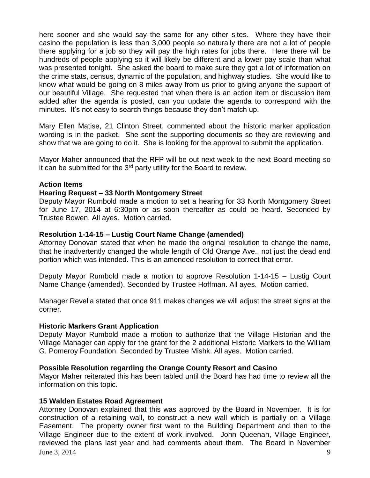here sooner and she would say the same for any other sites. Where they have their casino the population is less than 3,000 people so naturally there are not a lot of people there applying for a job so they will pay the high rates for jobs there. Here there will be hundreds of people applying so it will likely be different and a lower pay scale than what was presented tonight. She asked the board to make sure they got a lot of information on the crime stats, census, dynamic of the population, and highway studies. She would like to know what would be going on 8 miles away from us prior to giving anyone the support of our beautiful Village. She requested that when there is an action item or discussion item added after the agenda is posted, can you update the agenda to correspond with the minutes. It's not easy to search things because they don't match up.

Mary Ellen Matise, 21 Clinton Street, commented about the historic marker application wording is in the packet. She sent the supporting documents so they are reviewing and show that we are going to do it. She is looking for the approval to submit the application.

Mayor Maher announced that the RFP will be out next week to the next Board meeting so it can be submitted for the  $3<sup>rd</sup>$  party utility for the Board to review.

### **Action Items**

#### **Hearing Request – 33 North Montgomery Street**

Deputy Mayor Rumbold made a motion to set a hearing for 33 North Montgomery Street for June 17, 2014 at 6:30pm or as soon thereafter as could be heard. Seconded by Trustee Bowen. All ayes. Motion carried.

#### **Resolution 1-14-15 – Lustig Court Name Change (amended)**

Attorney Donovan stated that when he made the original resolution to change the name, that he inadvertently changed the whole length of Old Orange Ave., not just the dead end portion which was intended. This is an amended resolution to correct that error.

Deputy Mayor Rumbold made a motion to approve Resolution 1-14-15 – Lustig Court Name Change (amended). Seconded by Trustee Hoffman. All ayes. Motion carried.

Manager Revella stated that once 911 makes changes we will adjust the street signs at the corner.

#### **Historic Markers Grant Application**

Deputy Mayor Rumbold made a motion to authorize that the Village Historian and the Village Manager can apply for the grant for the 2 additional Historic Markers to the William G. Pomeroy Foundation. Seconded by Trustee Mishk. All ayes. Motion carried.

### **Possible Resolution regarding the Orange County Resort and Casino**

Mayor Maher reiterated this has been tabled until the Board has had time to review all the information on this topic.

#### **15 Walden Estates Road Agreement**

June 3, 2014 9 Attorney Donovan explained that this was approved by the Board in November. It is for construction of a retaining wall, to construct a new wall which is partially on a Village Easement. The property owner first went to the Building Department and then to the Village Engineer due to the extent of work involved. John Queenan, Village Engineer, reviewed the plans last year and had comments about them. The Board in November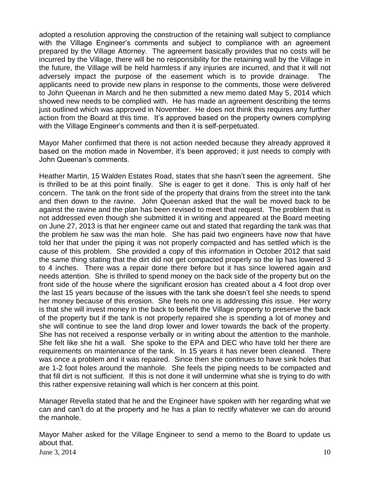adopted a resolution approving the construction of the retaining wall subject to compliance with the Village Engineer's comments and subject to compliance with an agreement prepared by the Village Attorney. The agreement basically provides that no costs will be incurred by the Village, there will be no responsibility for the retaining wall by the Village in the future, the Village will be held harmless if any injuries are incurred, and that it will not adversely impact the purpose of the easement which is to provide drainage. The applicants need to provide new plans in response to the comments, those were delivered to John Queenan in March and he then submitted a new memo dated May 5, 2014 which showed new needs to be complied with. He has made an agreement describing the terms just outlined which was approved in November. He does not think this requires any further action from the Board at this time. It's approved based on the property owners complying with the Village Engineer's comments and then it is self-perpetuated.

Mayor Maher confirmed that there is not action needed because they already approved it based on the motion made in November, it's been approved; it just needs to comply with John Queenan's comments.

Heather Martin, 15 Walden Estates Road, states that she hasn't seen the agreement. She is thrilled to be at this point finally. She is eager to get it done. This is only half of her concern. The tank on the front side of the property that drains from the street into the tank and then down to the ravine. John Queenan asked that the wall be moved back to be against the ravine and the plan has been revised to meet that request. The problem that is not addressed even though she submitted it in writing and appeared at the Board meeting on June 27, 2013 is that her engineer came out and stated that regarding the tank was that the problem he saw was the man hole. She has paid two engineers have now that have told her that under the piping it was not properly compacted and has settled which is the cause of this problem. She provided a copy of this information in October 2012 that said the same thing stating that the dirt did not get compacted properly so the lip has lowered 3 to 4 inches. There was a repair done there before but it has since lowered again and needs attention. She is thrilled to spend money on the back side of the property but on the front side of the house where the significant erosion has created about a 4 foot drop over the last 15 years because of the issues with the tank she doesn't feel she needs to spend her money because of this erosion. She feels no one is addressing this issue. Her worry is that she will invest money in the back to benefit the Village property to preserve the back of the property but if the tank is not properly repaired she is spending a lot of money and she will continue to see the land drop lower and lower towards the back of the property. She has not received a response verbally or in writing about the attention to the manhole. She felt like she hit a wall. She spoke to the EPA and DEC who have told her there are requirements on maintenance of the tank. In 15 years it has never been cleaned. There was once a problem and it was repaired. Since then she continues to have sink holes that are 1-2 foot holes around the manhole. She feels the piping needs to be compacted and that fill dirt is not sufficient. If this is not done it will undermine what she is trying to do with this rather expensive retaining wall which is her concern at this point.

Manager Revella stated that he and the Engineer have spoken with her regarding what we can and can't do at the property and he has a plan to rectify whatever we can do around the manhole.

June 3, 2014  $10^{10}$ Mayor Maher asked for the Village Engineer to send a memo to the Board to update us about that.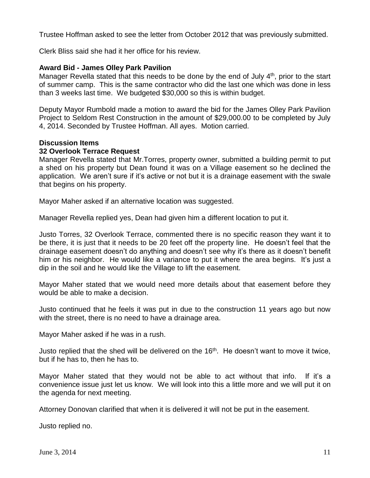Trustee Hoffman asked to see the letter from October 2012 that was previously submitted.

Clerk Bliss said she had it her office for his review.

## **Award Bid - James Olley Park Pavilion**

Manager Revella stated that this needs to be done by the end of July 4<sup>th</sup>, prior to the start of summer camp. This is the same contractor who did the last one which was done in less than 3 weeks last time. We budgeted \$30,000 so this is within budget.

Deputy Mayor Rumbold made a motion to award the bid for the James Olley Park Pavilion Project to Seldom Rest Construction in the amount of \$29,000.00 to be completed by July 4, 2014. Seconded by Trustee Hoffman. All ayes. Motion carried.

### **Discussion Items**

### **32 Overlook Terrace Request**

Manager Revella stated that Mr.Torres, property owner, submitted a building permit to put a shed on his property but Dean found it was on a Village easement so he declined the application. We aren't sure if it's active or not but it is a drainage easement with the swale that begins on his property.

Mayor Maher asked if an alternative location was suggested.

Manager Revella replied yes, Dean had given him a different location to put it.

Justo Torres, 32 Overlook Terrace, commented there is no specific reason they want it to be there, it is just that it needs to be 20 feet off the property line. He doesn't feel that the drainage easement doesn't do anything and doesn't see why it's there as it doesn't benefit him or his neighbor. He would like a variance to put it where the area begins. It's just a dip in the soil and he would like the Village to lift the easement.

Mayor Maher stated that we would need more details about that easement before they would be able to make a decision.

Justo continued that he feels it was put in due to the construction 11 years ago but now with the street, there is no need to have a drainage area.

Mayor Maher asked if he was in a rush.

Justo replied that the shed will be delivered on the 16<sup>th</sup>. He doesn't want to move it twice, but if he has to, then he has to.

Mayor Maher stated that they would not be able to act without that info. If it's a convenience issue just let us know. We will look into this a little more and we will put it on the agenda for next meeting.

Attorney Donovan clarified that when it is delivered it will not be put in the easement.

Justo replied no.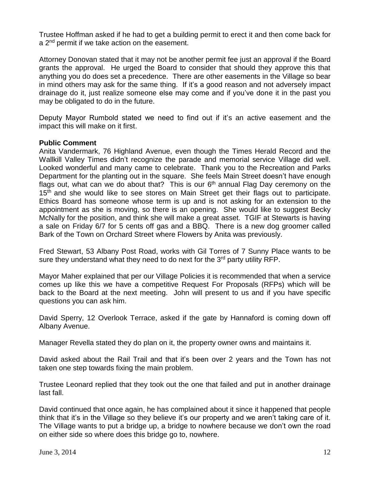Trustee Hoffman asked if he had to get a building permit to erect it and then come back for a 2<sup>nd</sup> permit if we take action on the easement.

Attorney Donovan stated that it may not be another permit fee just an approval if the Board grants the approval. He urged the Board to consider that should they approve this that anything you do does set a precedence. There are other easements in the Village so bear in mind others may ask for the same thing. If it's a good reason and not adversely impact drainage do it, just realize someone else may come and if you've done it in the past you may be obligated to do in the future.

Deputy Mayor Rumbold stated we need to find out if it's an active easement and the impact this will make on it first.

# **Public Comment**

Anita Vandermark, 76 Highland Avenue, even though the Times Herald Record and the Wallkill Valley Times didn't recognize the parade and memorial service Village did well. Looked wonderful and many came to celebrate. Thank you to the Recreation and Parks Department for the planting out in the square. She feels Main Street doesn't have enough flags out, what can we do about that? This is our 6<sup>th</sup> annual Flag Day ceremony on the  $15<sup>th</sup>$  and she would like to see stores on Main Street get their flags out to participate. Ethics Board has someone whose term is up and is not asking for an extension to the appointment as she is moving, so there is an opening. She would like to suggest Becky McNally for the position, and think she will make a great asset. TGIF at Stewarts is having a sale on Friday 6/7 for 5 cents off gas and a BBQ. There is a new dog groomer called Bark of the Town on Orchard Street where Flowers by Anita was previously.

Fred Stewart, 53 Albany Post Road, works with Gil Torres of 7 Sunny Place wants to be sure they understand what they need to do next for the  $3<sup>rd</sup>$  party utility RFP.

Mayor Maher explained that per our Village Policies it is recommended that when a service comes up like this we have a competitive Request For Proposals (RFPs) which will be back to the Board at the next meeting. John will present to us and if you have specific questions you can ask him.

David Sperry, 12 Overlook Terrace, asked if the gate by Hannaford is coming down off Albany Avenue.

Manager Revella stated they do plan on it, the property owner owns and maintains it.

David asked about the Rail Trail and that it's been over 2 years and the Town has not taken one step towards fixing the main problem.

Trustee Leonard replied that they took out the one that failed and put in another drainage last fall.

David continued that once again, he has complained about it since it happened that people think that it's in the Village so they believe it's our property and we aren't taking care of it. The Village wants to put a bridge up, a bridge to nowhere because we don't own the road on either side so where does this bridge go to, nowhere.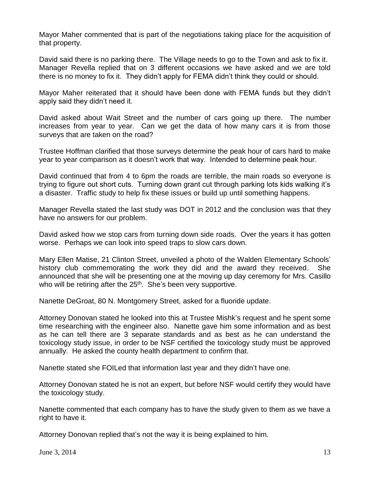Mayor Maher commented that is part of the negotiations taking place for the acquisition of that property.

David said there is no parking there. The Village needs to go to the Town and ask to fix it. Manager Revella replied that on 3 different occasions we have asked and we are told there is no money to fix it. They didn't apply for FEMA didn't think they could or should.

Mayor Maher reiterated that it should have been done with FEMA funds but they didn't apply said they didn't need it.

David asked about Wait Street and the number of cars going up there. The number increases from year to year. Can we get the data of how many cars it is from those surveys that are taken on the road?

Trustee Hoffman clarified that those surveys determine the peak hour of cars hard to make year to year comparison as it doesn't work that way. Intended to determine peak hour.

David continued that from 4 to 6pm the roads are terrible, the main roads so everyone is trying to figure out short cuts. Turning down grant cut through parking lots kids walking it's a disaster. Traffic study to help fix these issues or build up until something happens.

Manager Revella stated the last study was DOT in 2012 and the conclusion was that they have no answers for our problem.

David asked how we stop cars from turning down side roads. Over the years it has gotten worse. Perhaps we can look into speed traps to slow cars down.

Mary Ellen Matise, 21 Clinton Street, unveiled a photo of the Walden Elementary Schools' history club commemorating the work they did and the award they received. She announced that she will be presenting one at the moving up day ceremony for Mrs. Casillo who will be retiring after the 25<sup>th</sup>. She's been very supportive.

Nanette DeGroat, 80 N. Montgomery Street, asked for a fluoride update.

Attorney Donovan stated he looked into this at Trustee Mishk's request and he spent some time researching with the engineer also. Nanette gave him some information and as best as he can tell there are 3 separate standards and as best as he can understand the toxicology study issue, in order to be NSF certified the toxicology study must be approved annually. He asked the county health department to confirm that.

Nanette stated she FOILed that information last year and they didn't have one.

Attorney Donovan stated he is not an expert, but before NSF would certify they would have the toxicology study.

Nanette commented that each company has to have the study given to them as we have a right to have it.

Attorney Donovan replied that's not the way it is being explained to him.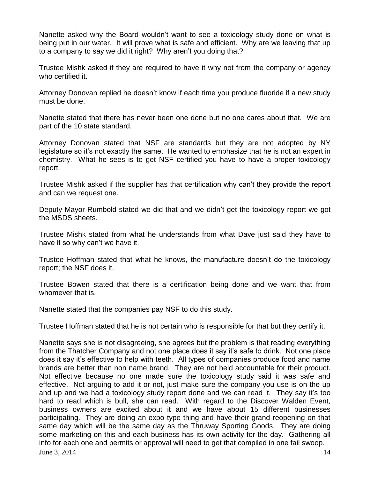Nanette asked why the Board wouldn't want to see a toxicology study done on what is being put in our water. It will prove what is safe and efficient. Why are we leaving that up to a company to say we did it right? Why aren't you doing that?

Trustee Mishk asked if they are required to have it why not from the company or agency who certified it.

Attorney Donovan replied he doesn't know if each time you produce fluoride if a new study must be done.

Nanette stated that there has never been one done but no one cares about that. We are part of the 10 state standard.

Attorney Donovan stated that NSF are standards but they are not adopted by NY legislature so it's not exactly the same. He wanted to emphasize that he is not an expert in chemistry. What he sees is to get NSF certified you have to have a proper toxicology report.

Trustee Mishk asked if the supplier has that certification why can't they provide the report and can we request one.

Deputy Mayor Rumbold stated we did that and we didn't get the toxicology report we got the MSDS sheets.

Trustee Mishk stated from what he understands from what Dave just said they have to have it so why can't we have it.

Trustee Hoffman stated that what he knows, the manufacture doesn't do the toxicology report; the NSF does it.

Trustee Bowen stated that there is a certification being done and we want that from whomever that is.

Nanette stated that the companies pay NSF to do this study.

Trustee Hoffman stated that he is not certain who is responsible for that but they certify it.

June 3, 2014  $14$ Nanette says she is not disagreeing, she agrees but the problem is that reading everything from the Thatcher Company and not one place does it say it's safe to drink. Not one place does it say it's effective to help with teeth. All types of companies produce food and name brands are better than non name brand. They are not held accountable for their product. Not effective because no one made sure the toxicology study said it was safe and effective. Not arguing to add it or not, just make sure the company you use is on the up and up and we had a toxicology study report done and we can read it. They say it's too hard to read which is bull, she can read. With regard to the Discover Walden Event, business owners are excited about it and we have about 15 different businesses participating. They are doing an expo type thing and have their grand reopening on that same day which will be the same day as the Thruway Sporting Goods. They are doing some marketing on this and each business has its own activity for the day. Gathering all info for each one and permits or approval will need to get that compiled in one fail swoop.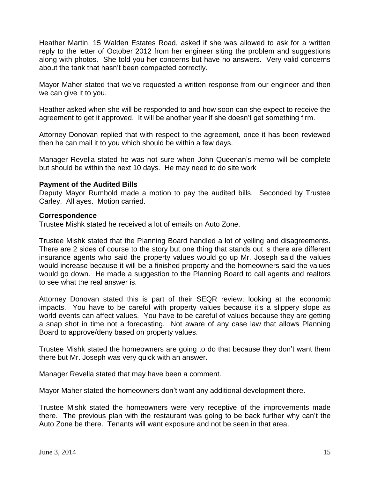Heather Martin, 15 Walden Estates Road, asked if she was allowed to ask for a written reply to the letter of October 2012 from her engineer siting the problem and suggestions along with photos. She told you her concerns but have no answers. Very valid concerns about the tank that hasn't been compacted correctly.

Mayor Maher stated that we've requested a written response from our engineer and then we can give it to you.

Heather asked when she will be responded to and how soon can she expect to receive the agreement to get it approved. It will be another year if she doesn't get something firm.

Attorney Donovan replied that with respect to the agreement, once it has been reviewed then he can mail it to you which should be within a few days.

Manager Revella stated he was not sure when John Queenan's memo will be complete but should be within the next 10 days. He may need to do site work

# **Payment of the Audited Bills**

Deputy Mayor Rumbold made a motion to pay the audited bills. Seconded by Trustee Carley. All ayes. Motion carried.

### **Correspondence**

Trustee Mishk stated he received a lot of emails on Auto Zone.

Trustee Mishk stated that the Planning Board handled a lot of yelling and disagreements. There are 2 sides of course to the story but one thing that stands out is there are different insurance agents who said the property values would go up Mr. Joseph said the values would increase because it will be a finished property and the homeowners said the values would go down. He made a suggestion to the Planning Board to call agents and realtors to see what the real answer is.

Attorney Donovan stated this is part of their SEQR review; looking at the economic impacts. You have to be careful with property values because it's a slippery slope as world events can affect values. You have to be careful of values because they are getting a snap shot in time not a forecasting. Not aware of any case law that allows Planning Board to approve/deny based on property values.

Trustee Mishk stated the homeowners are going to do that because they don't want them there but Mr. Joseph was very quick with an answer.

Manager Revella stated that may have been a comment.

Mayor Maher stated the homeowners don't want any additional development there.

Trustee Mishk stated the homeowners were very receptive of the improvements made there. The previous plan with the restaurant was going to be back further why can't the Auto Zone be there. Tenants will want exposure and not be seen in that area.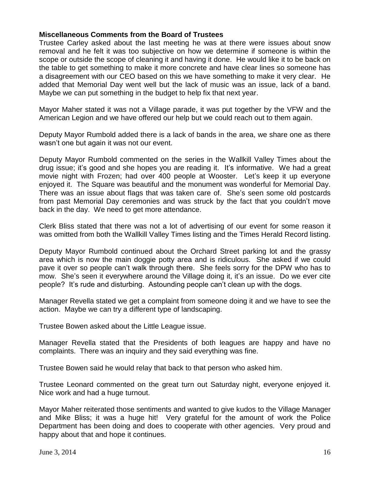# **Miscellaneous Comments from the Board of Trustees**

Trustee Carley asked about the last meeting he was at there were issues about snow removal and he felt it was too subjective on how we determine if someone is within the scope or outside the scope of cleaning it and having it done. He would like it to be back on the table to get something to make it more concrete and have clear lines so someone has a disagreement with our CEO based on this we have something to make it very clear. He added that Memorial Day went well but the lack of music was an issue, lack of a band. Maybe we can put something in the budget to help fix that next year.

Mayor Maher stated it was not a Village parade, it was put together by the VFW and the American Legion and we have offered our help but we could reach out to them again.

Deputy Mayor Rumbold added there is a lack of bands in the area, we share one as there wasn't one but again it was not our event.

Deputy Mayor Rumbold commented on the series in the Wallkill Valley Times about the drug issue; it's good and she hopes you are reading it. It's informative. We had a great movie night with Frozen; had over 400 people at Wooster. Let's keep it up everyone enjoyed it. The Square was beautiful and the monument was wonderful for Memorial Day. There was an issue about flags that was taken care of. She's seen some old postcards from past Memorial Day ceremonies and was struck by the fact that you couldn't move back in the day. We need to get more attendance.

Clerk Bliss stated that there was not a lot of advertising of our event for some reason it was omitted from both the Wallkill Valley Times listing and the Times Herald Record listing.

Deputy Mayor Rumbold continued about the Orchard Street parking lot and the grassy area which is now the main doggie potty area and is ridiculous. She asked if we could pave it over so people can't walk through there. She feels sorry for the DPW who has to mow. She's seen it everywhere around the Village doing it, it's an issue. Do we ever cite people? It's rude and disturbing. Astounding people can't clean up with the dogs.

Manager Revella stated we get a complaint from someone doing it and we have to see the action. Maybe we can try a different type of landscaping.

Trustee Bowen asked about the Little League issue.

Manager Revella stated that the Presidents of both leagues are happy and have no complaints. There was an inquiry and they said everything was fine.

Trustee Bowen said he would relay that back to that person who asked him.

Trustee Leonard commented on the great turn out Saturday night, everyone enjoyed it. Nice work and had a huge turnout.

Mayor Maher reiterated those sentiments and wanted to give kudos to the Village Manager and Mike Bliss; it was a huge hit! Very grateful for the amount of work the Police Department has been doing and does to cooperate with other agencies. Very proud and happy about that and hope it continues.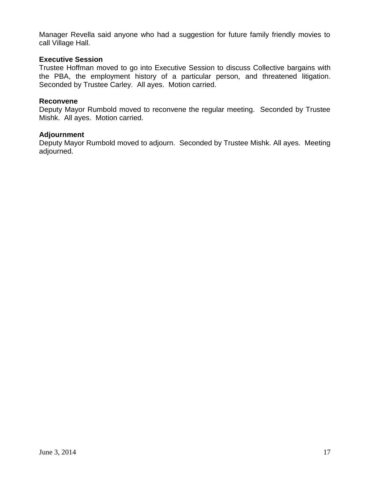Manager Revella said anyone who had a suggestion for future family friendly movies to call Village Hall.

### **Executive Session**

Trustee Hoffman moved to go into Executive Session to discuss Collective bargains with the PBA, the employment history of a particular person, and threatened litigation. Seconded by Trustee Carley. All ayes. Motion carried.

#### **Reconvene**

Deputy Mayor Rumbold moved to reconvene the regular meeting. Seconded by Trustee Mishk. All ayes. Motion carried.

#### **Adjournment**

Deputy Mayor Rumbold moved to adjourn. Seconded by Trustee Mishk. All ayes. Meeting adjourned.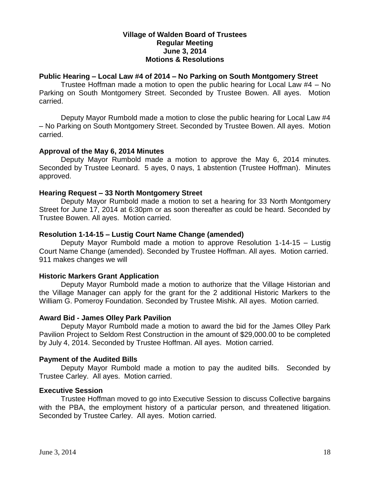## **Village of Walden Board of Trustees Regular Meeting June 3, 2014 Motions & Resolutions**

# **Public Hearing – Local Law #4 of 2014 – No Parking on South Montgomery Street**

Trustee Hoffman made a motion to open the public hearing for Local Law #4 – No Parking on South Montgomery Street. Seconded by Trustee Bowen. All ayes. Motion carried.

Deputy Mayor Rumbold made a motion to close the public hearing for Local Law #4 – No Parking on South Montgomery Street. Seconded by Trustee Bowen. All ayes. Motion carried.

### **Approval of the May 6, 2014 Minutes**

Deputy Mayor Rumbold made a motion to approve the May 6, 2014 minutes. Seconded by Trustee Leonard. 5 ayes, 0 nays, 1 abstention (Trustee Hoffman). Minutes approved.

### **Hearing Request – 33 North Montgomery Street**

Deputy Mayor Rumbold made a motion to set a hearing for 33 North Montgomery Street for June 17, 2014 at 6:30pm or as soon thereafter as could be heard. Seconded by Trustee Bowen. All ayes. Motion carried.

### **Resolution 1-14-15 – Lustig Court Name Change (amended)**

Deputy Mayor Rumbold made a motion to approve Resolution 1-14-15 – Lustig Court Name Change (amended). Seconded by Trustee Hoffman. All ayes. Motion carried. 911 makes changes we will

# **Historic Markers Grant Application**

Deputy Mayor Rumbold made a motion to authorize that the Village Historian and the Village Manager can apply for the grant for the 2 additional Historic Markers to the William G. Pomeroy Foundation. Seconded by Trustee Mishk. All ayes. Motion carried.

### **Award Bid - James Olley Park Pavilion**

Deputy Mayor Rumbold made a motion to award the bid for the James Olley Park Pavilion Project to Seldom Rest Construction in the amount of \$29,000.00 to be completed by July 4, 2014. Seconded by Trustee Hoffman. All ayes. Motion carried.

### **Payment of the Audited Bills**

Deputy Mayor Rumbold made a motion to pay the audited bills. Seconded by Trustee Carley. All ayes. Motion carried.

### **Executive Session**

Trustee Hoffman moved to go into Executive Session to discuss Collective bargains with the PBA, the employment history of a particular person, and threatened litigation. Seconded by Trustee Carley. All ayes. Motion carried.